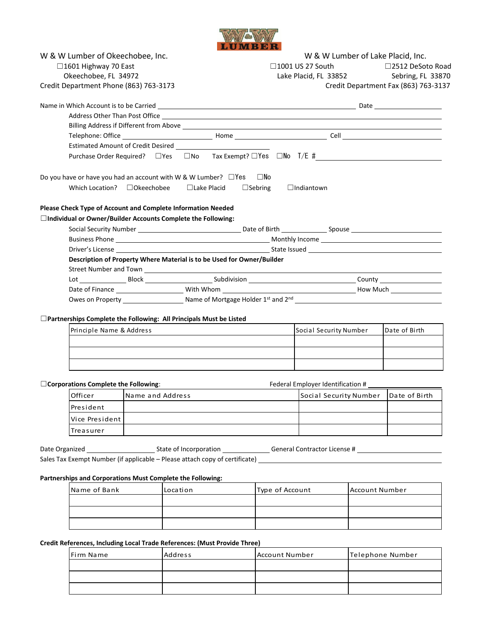

| W & W Lumber of Okeechobee, Inc.                                                                                                        |                  |                    | W & W Lumber of Lake Placid, Inc. |                                              |                   |                                   |                                      |  |
|-----------------------------------------------------------------------------------------------------------------------------------------|------------------|--------------------|-----------------------------------|----------------------------------------------|-------------------|-----------------------------------|--------------------------------------|--|
| □1601 Highway 70 East                                                                                                                   |                  |                    |                                   | $\Box$ 1001 US 27 South<br>□2512 DeSoto Road |                   |                                   |                                      |  |
| Okeechobee, FL 34972                                                                                                                    |                  |                    |                                   |                                              |                   | Lake Placid, FL 33852             | Sebring, FL 33870                    |  |
| Credit Department Phone (863) 763-3173                                                                                                  |                  |                    |                                   |                                              |                   |                                   | Credit Department Fax (863) 763-3137 |  |
|                                                                                                                                         |                  |                    |                                   |                                              |                   |                                   |                                      |  |
|                                                                                                                                         |                  |                    |                                   |                                              |                   |                                   |                                      |  |
|                                                                                                                                         |                  |                    |                                   |                                              |                   |                                   |                                      |  |
|                                                                                                                                         |                  |                    |                                   |                                              |                   |                                   |                                      |  |
|                                                                                                                                         |                  |                    |                                   |                                              |                   |                                   |                                      |  |
|                                                                                                                                         |                  |                    |                                   |                                              |                   |                                   |                                      |  |
| Do you have or have you had an account with W & W Lumber? $\Box$ Yes $\Box$ No                                                          |                  |                    |                                   |                                              |                   |                                   |                                      |  |
| Which Location? $\Box$ Okeechobee                                                                                                       |                  | $\Box$ Lake Placid | $\Box$ Sebring                    |                                              | $\Box$ Indiantown |                                   |                                      |  |
|                                                                                                                                         |                  |                    |                                   |                                              |                   |                                   |                                      |  |
| Please Check Type of Account and Complete Information Needed<br>□Individual or Owner/Builder Accounts Complete the Following:           |                  |                    |                                   |                                              |                   |                                   |                                      |  |
|                                                                                                                                         |                  |                    |                                   |                                              |                   |                                   |                                      |  |
|                                                                                                                                         |                  |                    |                                   |                                              |                   |                                   |                                      |  |
|                                                                                                                                         |                  |                    |                                   |                                              |                   |                                   |                                      |  |
| Description of Property Where Material is to be Used for Owner/Builder                                                                  |                  |                    |                                   |                                              |                   |                                   |                                      |  |
|                                                                                                                                         |                  |                    |                                   |                                              |                   |                                   |                                      |  |
|                                                                                                                                         |                  |                    |                                   |                                              |                   |                                   |                                      |  |
|                                                                                                                                         |                  |                    |                                   |                                              |                   |                                   |                                      |  |
|                                                                                                                                         |                  |                    |                                   |                                              |                   |                                   |                                      |  |
|                                                                                                                                         |                  |                    |                                   |                                              |                   |                                   |                                      |  |
| $\Box$ Partnerships Complete the Following: All Principals Must be Listed                                                               |                  |                    |                                   |                                              |                   |                                   |                                      |  |
| Principle Name & Address                                                                                                                |                  |                    |                                   |                                              |                   | Social Security Number            | Date of Birth                        |  |
|                                                                                                                                         |                  |                    |                                   |                                              |                   |                                   |                                      |  |
|                                                                                                                                         |                  |                    |                                   |                                              |                   |                                   |                                      |  |
|                                                                                                                                         |                  |                    |                                   |                                              |                   |                                   |                                      |  |
|                                                                                                                                         |                  |                    |                                   |                                              |                   |                                   |                                      |  |
| $\Box$ Corporations Complete the Following:                                                                                             |                  |                    |                                   |                                              |                   | Federal Employer Identification # |                                      |  |
| Officer                                                                                                                                 | Name and Address |                    |                                   |                                              |                   | Social Security Number            | Date of Birth                        |  |
| President                                                                                                                               |                  |                    |                                   |                                              |                   |                                   |                                      |  |
| Vice President                                                                                                                          |                  |                    |                                   |                                              |                   |                                   |                                      |  |
| Treasurer                                                                                                                               |                  |                    |                                   |                                              |                   |                                   |                                      |  |
|                                                                                                                                         |                  |                    |                                   |                                              |                   |                                   |                                      |  |
| Date Organized ______________________________State of Incorporation __________________General Contractor License # ____________________ |                  |                    |                                   |                                              |                   |                                   |                                      |  |
| Sales Tax Exempt Number (if applicable – Please attach copy of certificate) _______________________                                     |                  |                    |                                   |                                              |                   |                                   |                                      |  |
| Partnerships and Corporations Must Complete the Following:                                                                              |                  |                    |                                   |                                              |                   |                                   |                                      |  |
| Name of Bank                                                                                                                            |                  | Location           |                                   |                                              | Type of Account   |                                   | <b>Account Number</b>                |  |
|                                                                                                                                         |                  |                    |                                   |                                              |                   |                                   |                                      |  |
|                                                                                                                                         |                  |                    |                                   |                                              |                   |                                   |                                      |  |
|                                                                                                                                         |                  |                    |                                   |                                              |                   |                                   |                                      |  |

**Credit References, Including Local Trade References: (Must Provide Three)**

| Firm Name | Address | Account Number | Telephone Number |
|-----------|---------|----------------|------------------|
|           |         |                |                  |
|           |         |                |                  |
|           |         |                |                  |